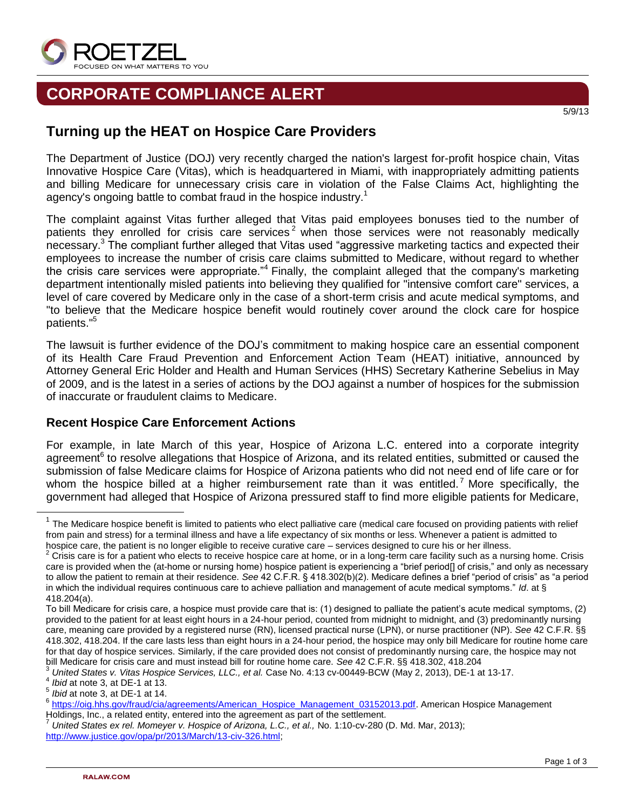

## **CORPORATE COMPLIANCE ALERT**

## **Turning up the HEAT on Hospice Care Providers**

The Department of Justice (DOJ) very recently charged the nation's largest for-profit hospice chain, Vitas Innovative Hospice Care (Vitas), which is headquartered in Miami, with inappropriately admitting patients and billing Medicare for unnecessary crisis care in violation of the False Claims Act, highlighting the agency's ongoing battle to combat fraud in the hospice industry.<sup>1</sup>

The complaint against Vitas further alleged that Vitas paid employees bonuses tied to the number of patients they enrolled for crisis care services<sup>2</sup> when those services were not reasonably medically necessary.<sup>3</sup> The compliant further alleged that Vitas used "aggressive marketing tactics and expected their employees to increase the number of crisis care claims submitted to Medicare, without regard to whether the crisis care services were appropriate."<sup>4</sup> Finally, the complaint alleged that the company's marketing department intentionally misled patients into believing they qualified for "intensive comfort care" services, a level of care covered by Medicare only in the case of a short-term crisis and acute medical symptoms, and "to believe that the Medicare hospice benefit would routinely cover around the clock care for hospice patients."<sup>5</sup>

The lawsuit is further evidence of the DOJ's commitment to making hospice care an essential component of its Health Care Fraud Prevention and Enforcement Action Team (HEAT) initiative, announced by Attorney General Eric Holder and Health and Human Services (HHS) Secretary Katherine Sebelius in May of 2009, and is the latest in a series of actions by the DOJ against a number of hospices for the submission of inaccurate or fraudulent claims to Medicare.

## **Recent Hospice Care Enforcement Actions**

For example, in late March of this year, Hospice of Arizona L.C. entered into a corporate integrity agreement<sup>6</sup> to resolve allegations that Hospice of Arizona, and its related entities, submitted or caused the submission of false Medicare claims for Hospice of Arizona patients who did not need end of life care or for whom the hospice billed at a higher reimbursement rate than it was entitled.<sup>7</sup> More specifically, the government had alleged that Hospice of Arizona pressured staff to find more eligible patients for Medicare,

l

5/9/13

 $1$  The Medicare hospice benefit is limited to patients who elect palliative care (medical care focused on providing patients with relief from pain and stress) for a terminal illness and have a life expectancy of six months or less. Whenever a patient is admitted to hospice care, the patient is no longer eligible to receive curative care – services designed to cure his or her illness.

<sup>&</sup>lt;sup>2</sup> Crisis care is for a patient who elects to receive hospice care at home, or in a long-term care facility such as a nursing home. Crisis care is provided when the (at-home or nursing home) hospice patient is experiencing a "brief period[] of crisis," and only as necessary to allow the patient to remain at their residence. *See* 42 C.F.R. § 418.302(b)(2). Medicare defines a brief "period of crisis" as "a period in which the individual requires continuous care to achieve palliation and management of acute medical symptoms." *Id*. at § 418.204(a).

To bill Medicare for crisis care, a hospice must provide care that is: (1) designed to palliate the patient's acute medical symptoms, (2) provided to the patient for at least eight hours in a 24-hour period, counted from midnight to midnight, and (3) predominantly nursing care, meaning care provided by a registered nurse (RN), licensed practical nurse (LPN), or nurse practitioner (NP). *See* 42 C.F.R. §§ 418.302, 418.204. If the care lasts less than eight hours in a 24-hour period, the hospice may only bill Medicare for routine home care for that day of hospice services. Similarly, if the care provided does not consist of predominantly nursing care, the hospice may not bill Medicare for crisis care and must instead bill for routine home care. *See* 42 C.F.R. §§ 418.302, 418.204

<sup>3</sup> *United States v. Vitas Hospice Services, LLC., et al.* Case No. 4:13 cv-00449-BCW (May 2, 2013), DE-1 at 13-17.

<sup>4</sup> *Ibid* at note 3, at DE-1 at 13.

<sup>5</sup> *Ibid* at note 3, at DE-1 at 14.

<sup>&</sup>lt;sup>6</sup> [https://oig.hhs.gov/fraud/cia/agreements/American\\_Hospice\\_Management\\_03152013.pdf.](https://oig.hhs.gov/fraud/cia/agreements/American_Hospice_Management_03152013.pdf) American Hospice Management Holdings, Inc., a related entity, entered into the agreement as part of the settlement.

<sup>7</sup> *United States ex rel. Momeyer v. Hospice of Arizona, L.C., et al.,* No. 1:10-cv-280 (D. Md. Mar, 2013); [http://www.justice.gov/opa/pr/2013/March/13-civ-326.html;](http://www.justice.gov/opa/pr/2013/March/13-civ-326.html)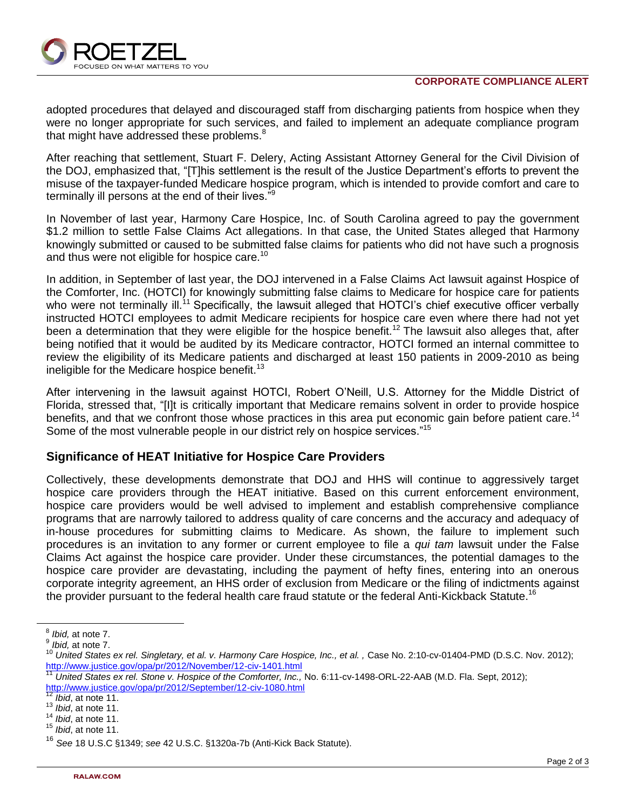

adopted procedures that delayed and discouraged staff from discharging patients from hospice when they were no longer appropriate for such services, and failed to implement an adequate compliance program that might have addressed these problems.<sup>8</sup>

After reaching that settlement, Stuart F. Delery, Acting Assistant Attorney General for the Civil Division of the DOJ, emphasized that, "[T]his settlement is the result of the Justice Department's efforts to prevent the misuse of the taxpayer-funded Medicare hospice program, which is intended to provide comfort and care to terminally ill persons at the end of their lives."<sup>9</sup>

In November of last year, Harmony Care Hospice, Inc. of South Carolina agreed to pay the government \$1.2 million to settle False Claims Act allegations. In that case, the United States alleged that Harmony knowingly submitted or caused to be submitted false claims for patients who did not have such a prognosis and thus were not eligible for hospice care.<sup>10</sup>

In addition, in September of last year, the DOJ intervened in a False Claims Act lawsuit against Hospice of the Comforter, Inc. (HOTCI) for knowingly submitting false claims to Medicare for hospice care for patients who were not terminally ill.<sup>11</sup> Specifically, the lawsuit alleged that HOTCI's chief executive officer verbally instructed HOTCI employees to admit Medicare recipients for hospice care even where there had not yet been a determination that they were eligible for the hospice benefit.<sup>12</sup> The lawsuit also alleges that, after being notified that it would be audited by its Medicare contractor, HOTCI formed an internal committee to review the eligibility of its Medicare patients and discharged at least 150 patients in 2009-2010 as being ineligible for the Medicare hospice benefit.<sup>13</sup>

After intervening in the lawsuit against HOTCI, Robert O'Neill, U.S. Attorney for the Middle District of Florida, stressed that, "[I]t is critically important that Medicare remains solvent in order to provide hospice benefits, and that we confront those whose practices in this area put economic gain before patient care.<sup>14</sup> Some of the most vulnerable people in our district rely on hospice services."<sup>15</sup>

## **Significance of HEAT Initiative for Hospice Care Providers**

Collectively, these developments demonstrate that DOJ and HHS will continue to aggressively target hospice care providers through the HEAT initiative. Based on this current enforcement environment, hospice care providers would be well advised to implement and establish comprehensive compliance programs that are narrowly tailored to address quality of care concerns and the accuracy and adequacy of in-house procedures for submitting claims to Medicare. As shown, the failure to implement such procedures is an invitation to any former or current employee to file a *qui tam* lawsuit under the False Claims Act against the hospice care provider. Under these circumstances, the potential damages to the hospice care provider are devastating, including the payment of hefty fines, entering into an onerous corporate integrity agreement, an HHS order of exclusion from Medicare or the filing of indictments against the provider pursuant to the federal health care fraud statute or the federal Anti-Kickback Statute.<sup>16</sup>

 $\overline{\phantom{a}}$ 

<sup>12</sup> *Ibid*, at note 11.

<sup>8</sup> *Ibid,* at note 7.

<sup>9</sup> *Ibid,* at note 7.

<sup>&</sup>lt;sup>10</sup> United States ex rel. Singletary, et al. v. Harmony Care Hospice, Inc., et al., Case No. 2:10-cv-01404-PMD (D.S.C. Nov. 2012); <http://www.justice.gov/opa/pr/2012/November/12-civ-1401.html>

<sup>11</sup> *United States ex rel. Stone v. Hospice of the Comforter, Inc.,* No. 6:11-cv-1498-ORL-22-AAB (M.D. Fla. Sept, 2012); <http://www.justice.gov/opa/pr/2012/September/12-civ-1080.html>

<sup>13</sup> *Ibid*, at note 11.

<sup>14</sup> *Ibid*, at note 11.

<sup>15</sup> *Ibid*, at note 11.

<sup>16</sup> *See* 18 U.S.C §1349; *see* 42 U.S.C. §1320a-7b (Anti-Kick Back Statute).